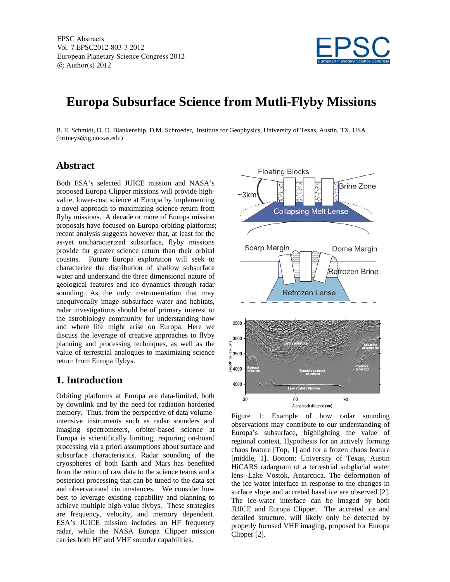

# **Europa Subsurface Science from Mutli-Flyby Missions**

B. E. Schmidt, D. D. Blankenship, D.M. Schroeder, Institute for Geophysics, University of Texas, Austin, TX, USA (britneys@ig.utexas.edu)

#### **Abstract**

Both ESA's selected JUICE mission and NASA's proposed Europa Clipper missions will provide highvalue, lower-cost science at Europa by implementing a novel approach to maximizing science return from flyby missions. A decade or more of Europa mission proposals have focused on Europa-orbiting platforms; recent analysis suggests however that, at least for the as-yet uncharacterized subsurface, flyby missions provide far greater science return than their orbital cousins. Future Europa exploration will seek to characterize the distribution of shallow subsurface water and understand the three dimensional nature of geological features and ice dynamics through radar sounding. As the only instrumentation that may unequivocally image subsurface water and habitats, radar investigations should be of primary interest to the astrobiology community for understanding how and where life might arise on Europa. Here we discuss the leverage of creative approaches to flyby planning and processing techniques, as well as the value of terrestrial analogues to maximizing science return from Europa flybys.

#### **1. Introduction**

Orbiting platforms at Europa are data-limited, both by downlink and by the need for radiation hardened memory. Thus, from the perspective of data volumeintensive instruments such as radar sounders and imaging spectrometers, orbiter-based science at Europa is scientifically limiting, requiring on-board processing via a priori assumptions about surface and subsurface characteristics. Radar sounding of the cryospheres of both Earth and Mars has benefited from the return of raw data to the science teams and a posteriori processing that can be tuned to the data set and observational circumstances. We consider how best to leverage existing capability and planning to achieve multiple high-value flybys. These strategies are frequency, velocity, and memory dependent. ESA's JUICE mission includes an HF frequency radar, while the NASA Europa Clipper mission carries both HF and VHF sounder capabilities.



Figure 1: Example of how radar sounding observations may contribute to our understanding of Europa's subsurface, highlighting the value of regional context. Hypothesis for an actively forming chaos feature [Top, 1] and for a frozen chaos feature [middle, 1]. Bottom: University of Texas, Austin HiCARS radargram of a terrestrial subglacial water lens--Lake Vostok, Antarctica. The deformation of the ice water interface in response to the changes in surface slope and accreted basal ice are observed [2]. The ice-water interface can be imaged by both JUICE and Europa Clipper. The accreted ice and detailed structure, will likely only be detected by properly focused VHF imaging, proposed for Europa Clipper [2].